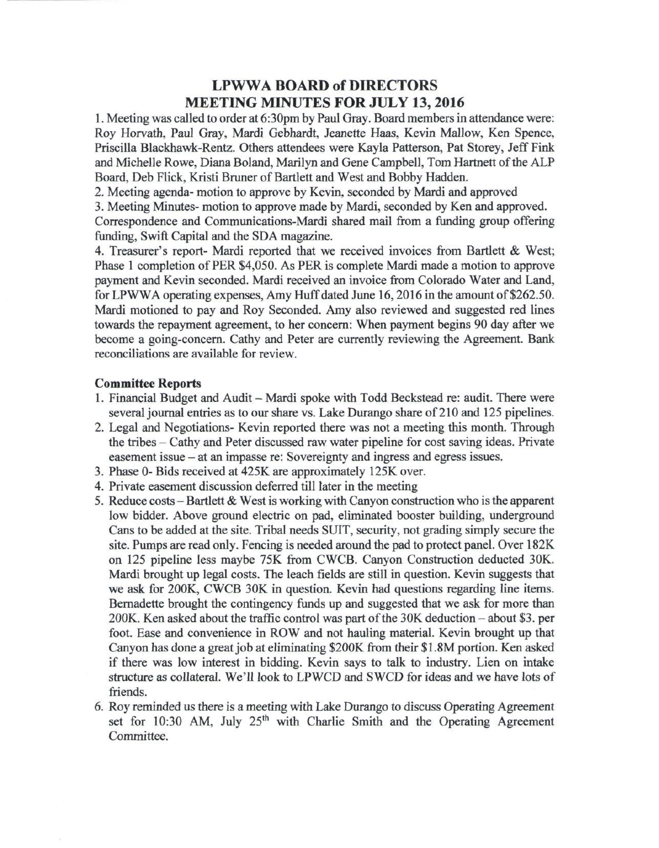## LPWWA BOARD of DIRECTORS MEETING MINUTES FOR JULY 13, 2016

1. Meeting was called to order at 6:30pm by Paul Gray. Board members in attendance were: Roy Horvath, Paul Gray, Mardi Gebhardt, Jeanette Haas, Kevin Mallow, Ken Spence, Priscilla Blackhawk-Rentz. Others attendees were Kayla Patterson, Pat Storey, Jeff Fink and Michelle Rowe, Diana Boland, Marilyn and Gene Campbell, Tom Hartnett of the ALP Board, Deb Flick, Kristi Bruner of Bartlett and West and Bobby Hadden.

2. Meeting agenda- motion to approve by Kevin, seconded by Mardi and approved

3. Meeting Minutes- motion to approve made by Mardi, seconded by Ken and approved. Correspondence and Communications-Mardi shared mail from a funding group offering funding, Swift Capital and the SDA magazine.

4. Treasurer's report- Mardi reported that we received invoices from Bartlett & West; Phase 1 completion of PER \$4,050. As PER is complete Mardi made a motion to approve payment and Kevin seconded. Mardi received an invoice from Colorado Water and Land, for LPWWA operating expenses, Amy Huff dated June 16,2016 in the amount of \$262.50. Mardi motioned to pay and Roy Seconded. Amy also reviewed and suggested red lines towards the repayment agreement, to her concern: When payment begins 90 day after we become a going-concern. Cathy and Peter are currently reviewing the Agreement. Bank reconciliations are available for review.

## **Committee Reports**

- 1. Financial Budget and Audit Mardi spoke with Todd Beckstead re: audit. There were several journal entries as to our share vs. Lake Durango share of 210 and 125 pipelines.
- 2. Legal and Negotiations- Kevin reported there was not a meeting this month. Through the tribes - Cathy and Peter discussed raw water pipeline for cost saving ideas. Private easement issue - at an impasse re: Sovereignty and ingress and egress issues.
- 3. Phase 0- Bids received at 425K are approximately 125K over.
- 4. Private easement discussion deferred till later in the meeting
- 5. Reduce costs Bartlett & West is working with Canyon construction who is the apparent low bidder. Above ground electric on pad, eliminated booster building, underground Cans to be added at the site. Tribal needs SUIT, security, not grading simply secure the site. Pumps are read only. Fencing is needed around the pad to protect panel. Over 182K on 125 pipeline less maybe 75K from CWCB. Canyon Construction deducted 30K. Mardi brought up legal costs. The leach fields are still in question. Kevin suggests that we ask for 200K, CWCB 30K in question. Kevin had questions regarding line items. Bernadette brought the contingency funds up and suggested that we ask for more than 200K. Ken asked about the traffic control was part of the 30K deduction – about \$3. per foot. Ease and convenience in ROW and not hauling material. Kevin brought up that Canyon has done a great job at eliminating \$200K from their \$1.8M portion. Ken asked if there was low interest in bidding. Kevin says to talk to industry. Lien on intake structure as collateral. We'll look to LPWCD and SWCD for ideas and we have lots of friends.
- 6. Roy reminded us there is a meeting with Lake Durango to discuss Operating Agreement set for 10:30 AM, July 25<sup>th</sup> with Charlie Smith and the Operating Agreement Committee.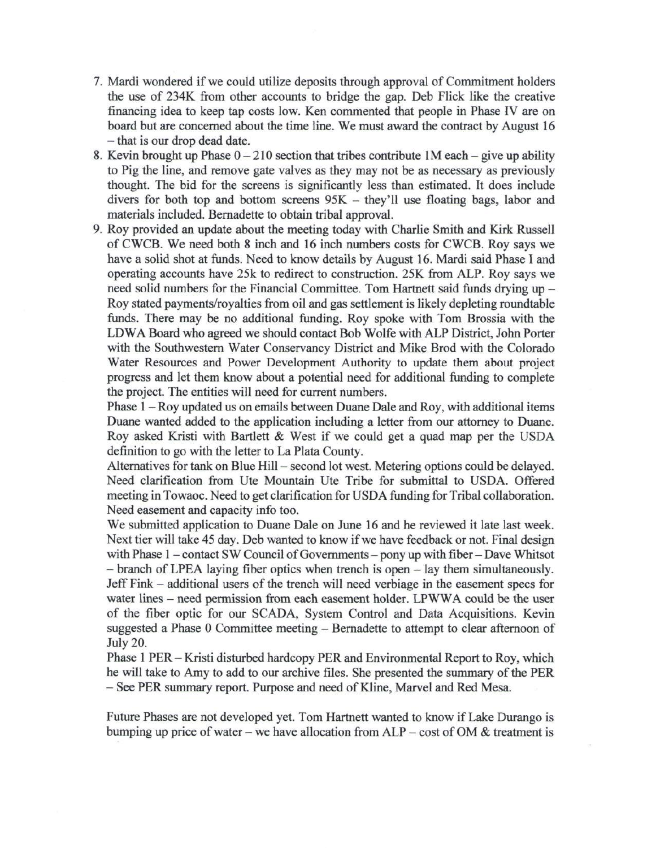- 7. Mardi wondered if we could utilize deposits through approval of Commitment holders the use of 234K from other accounts to bridge the gap. Deb Flick like the creative financing idea to keep tap costs low. Ken commented that people in Phase IV are on board but are concerned about the time line. We must award the contract by August 16 - that is our drop dead date.
- 8. Kevin brought up Phase  $0-210$  section that tribes contribute  $1M$  each give up ability to Pig the line, and remove gate valves as they may not be as necessary as previously thought. The bid for the screens is significantly less than estimated. It does include divers for both top and bottom screens  $95K -$  they'll use floating bags, labor and materials included. Bernadette to obtain tribal approval.
- 9. Roy provided an update about the meeting today with Charlie Smith and Kirk Russell of CWCB. We need both 8 inch and 16 inch numbers costs for CWCB. Roy says we have a solid shot at funds. Need to know details by August 16. Mardi said Phase I and operating accounts have 25k to redirect to construction. 25K from ALP. Roy says we need solid numbers for the Financial Committee. Tom Hartnett said funds drying up -Roy stated payments/royalties from oil and gas settlement is likely depleting roundtable funds. There may be no additional funding. Roy spoke with Tom Brossia with the LDWA Board who agreed we should contact Bob Wolfe with ALP District, John Porter with the Southwestern Water Conservancy District and Mike Brod with the Colorado Water Resources and Power Development Authority to update them about project progress and let them know about a potential need for additional funding to complete the project. The entities will need for current numbers.

Phase 1 - Roy updated us on emails between Duane Dale and Roy, with additional items Duane wanted added to the application including a letter from our attorney to Duane. Roy asked Kristi with Bartlett & West if we could get a quad map per the USDA definition to go with the letter to La Plata County.

Alternatives for tank on Blue Hill - second lot west. Metering options could be delayed. Need clarification from Ute Mountain Ute Tribe for submittal to USDA. Offered meeting in Towaoc. Need to get clarification for USDA funding for Tribal collaboration. Need easement and capacity info too.

We submitted application to Duane Dale on June 16 and he reviewed it late last week. Next tier will take 45 day. Deb wanted to know if we have feedback or not. Final design with Phase 1 - contact SW Council of Governments - pony up with fiber - Dave Whitsot - branch of LPEA laying fiber optics when trench is open - lay them simultaneously. Jeff Fink - additional users of the trench will need verbiage in the easement specs for water lines – need permission from each easement holder. LPWWA could be the user of the fiber optic for our SCADA, System Control and Data Acquisitions. Kevin suggested a Phase 0 Committee meeting - Bernadette to attempt to clear afternoon of July 20.

Phase 1 PER - Kristi disturbed hardcopy PER and Environmental Report to Roy, which he will take to Amy to add to our archive files. She presented the summary of the PER - See PER summary report. Purpose and need of Kline, Marvel and Red Mesa.

Future Phases are not developed yet. Tom Hartnett wanted to know if Lake Durango is bumping up price of water – we have allocation from  $ALP$  – cost of OM  $&$  treatment is